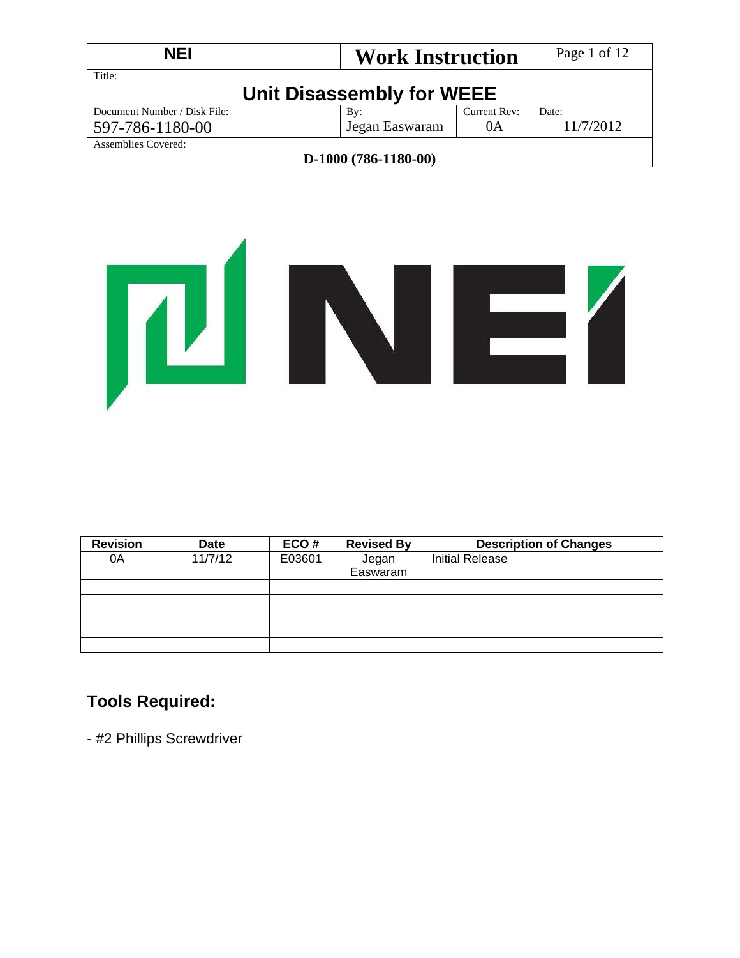| <b>NEI</b>                   | <b>Work Instruction</b>   |              | Page 1 of 12 |
|------------------------------|---------------------------|--------------|--------------|
| Title:                       | Unit Disassembly for WEEE |              |              |
| Document Number / Disk File: | By:                       | Current Rev: | Date:        |
| 597-786-1180-00              | Jegan Easwaram            | 0A           | 11/7/2012    |
| Assemblies Covered:          |                           |              |              |
|                              | $D-1000(786-1180-00)$     |              |              |



| <b>Revision</b> | <b>Date</b> | ECO#   | <b>Revised By</b> | <b>Description of Changes</b> |
|-----------------|-------------|--------|-------------------|-------------------------------|
| 0A              | 11/7/12     | E03601 | Jegan             | <b>Initial Release</b>        |
|                 |             |        | Easwaram          |                               |
|                 |             |        |                   |                               |
|                 |             |        |                   |                               |
|                 |             |        |                   |                               |
|                 |             |        |                   |                               |
|                 |             |        |                   |                               |

# **Tools Required:**

- #2 Phillips Screwdriver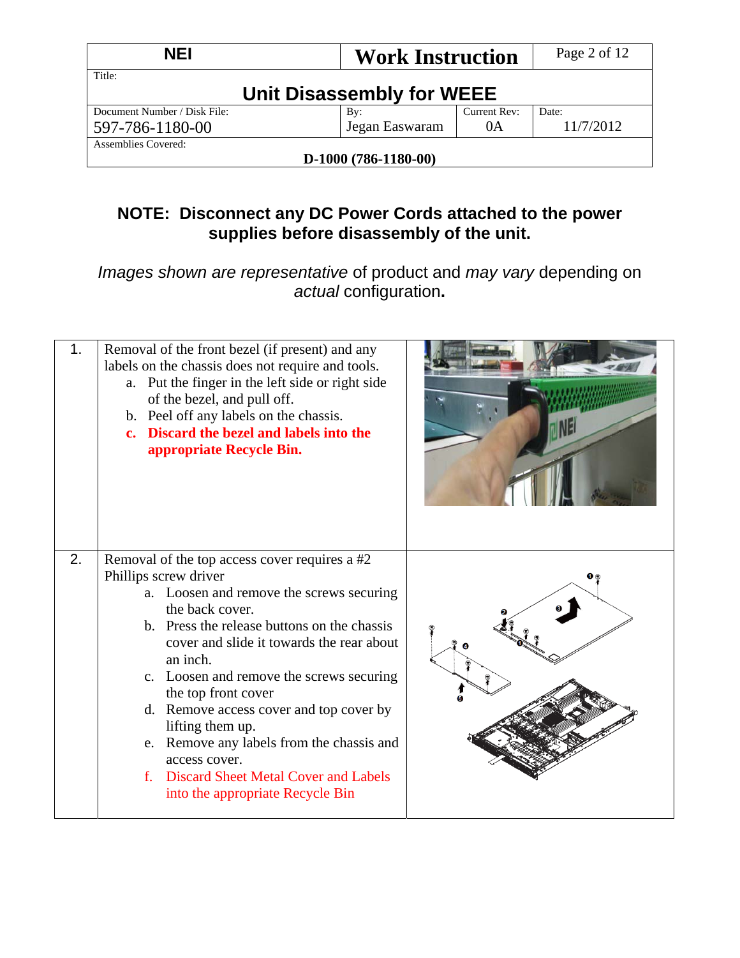| <b>NEI</b>                   | <b>Work Instruction</b>   |              | Page 2 of 12 |
|------------------------------|---------------------------|--------------|--------------|
| Title:                       | Unit Disassembly for WEEE |              |              |
| Document Number / Disk File: | By:                       | Current Rev: | Date:        |
| 597-786-1180-00              | Jegan Easwaram            | 0A           | 11/7/2012    |
| Assemblies Covered:          |                           |              |              |
|                              | D-1000 (786-1180-00)      |              |              |

# **NOTE: Disconnect any DC Power Cords attached to the power supplies before disassembly of the unit.**

*Images shown are representative* of product and *may vary* depending on *actual* configuration**.** 

| 1. | Removal of the front bezel (if present) and any<br>labels on the chassis does not require and tools.<br>a. Put the finger in the left side or right side<br>of the bezel, and pull off.<br>b. Peel off any labels on the chassis.<br>c. Discard the bezel and labels into the<br>appropriate Recycle Bin.                                                                                                                                     |  |
|----|-----------------------------------------------------------------------------------------------------------------------------------------------------------------------------------------------------------------------------------------------------------------------------------------------------------------------------------------------------------------------------------------------------------------------------------------------|--|
| 2. | Removal of the top access cover requires a #2<br>Phillips screw driver<br>a. Loosen and remove the screws securing<br>the back cover.<br>b. Press the release buttons on the chassis<br>cover and slide it towards the rear about<br>an inch.<br>c. Loosen and remove the screws securing<br>the top front cover<br>d. Remove access cover and top cover by<br>lifting them up.<br>e. Remove any labels from the chassis and<br>access cover. |  |
|    | f. Discard Sheet Metal Cover and Labels<br>into the appropriate Recycle Bin                                                                                                                                                                                                                                                                                                                                                                   |  |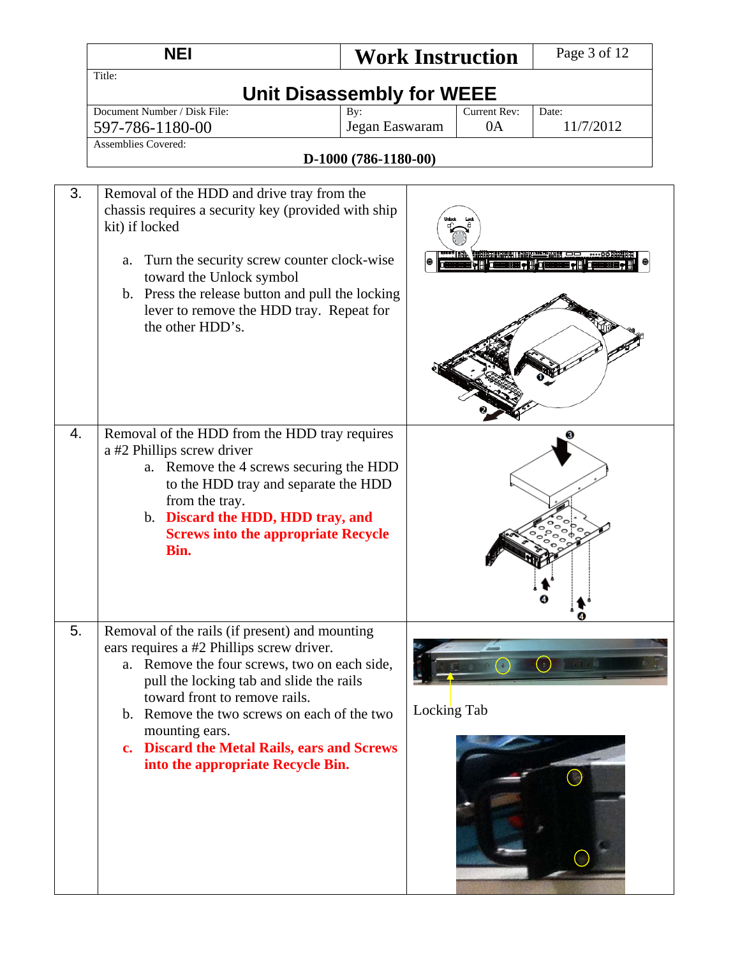|    | <b>NEI</b>                                                                                                                                                                                                                                                                                                                                                                    |                                  |             | <b>Work Instruction</b> | Page 3 of 12       |
|----|-------------------------------------------------------------------------------------------------------------------------------------------------------------------------------------------------------------------------------------------------------------------------------------------------------------------------------------------------------------------------------|----------------------------------|-------------|-------------------------|--------------------|
|    | Title:                                                                                                                                                                                                                                                                                                                                                                        | <b>Unit Disassembly for WEEE</b> |             |                         |                    |
|    | Document Number / Disk File:<br>597-786-1180-00<br><b>Assemblies Covered:</b>                                                                                                                                                                                                                                                                                                 | By:<br>Jegan Easwaram            |             | Current Rev:<br>0A      | Date:<br>11/7/2012 |
|    |                                                                                                                                                                                                                                                                                                                                                                               | D-1000 (786-1180-00)             |             |                         |                    |
| 3. | Removal of the HDD and drive tray from the<br>chassis requires a security key (provided with ship<br>kit) if locked<br>Turn the security screw counter clock-wise<br>a.<br>toward the Unlock symbol<br>b. Press the release button and pull the locking<br>lever to remove the HDD tray. Repeat for<br>the other HDD's.                                                       |                                  |             |                         |                    |
| 4. | Removal of the HDD from the HDD tray requires<br>a #2 Phillips screw driver<br>a. Remove the 4 screws securing the HDD<br>to the HDD tray and separate the HDD<br>from the tray.<br>b. Discard the HDD, HDD tray, and<br><b>Screws into the appropriate Recycle</b><br>Bin.                                                                                                   |                                  |             |                         |                    |
| 5. | Removal of the rails (if present) and mounting<br>ears requires a #2 Phillips screw driver.<br>a. Remove the four screws, two on each side,<br>pull the locking tab and slide the rails<br>toward front to remove rails.<br>b. Remove the two screws on each of the two<br>mounting ears.<br>c. Discard the Metal Rails, ears and Screws<br>into the appropriate Recycle Bin. |                                  | Locking Tab |                         |                    |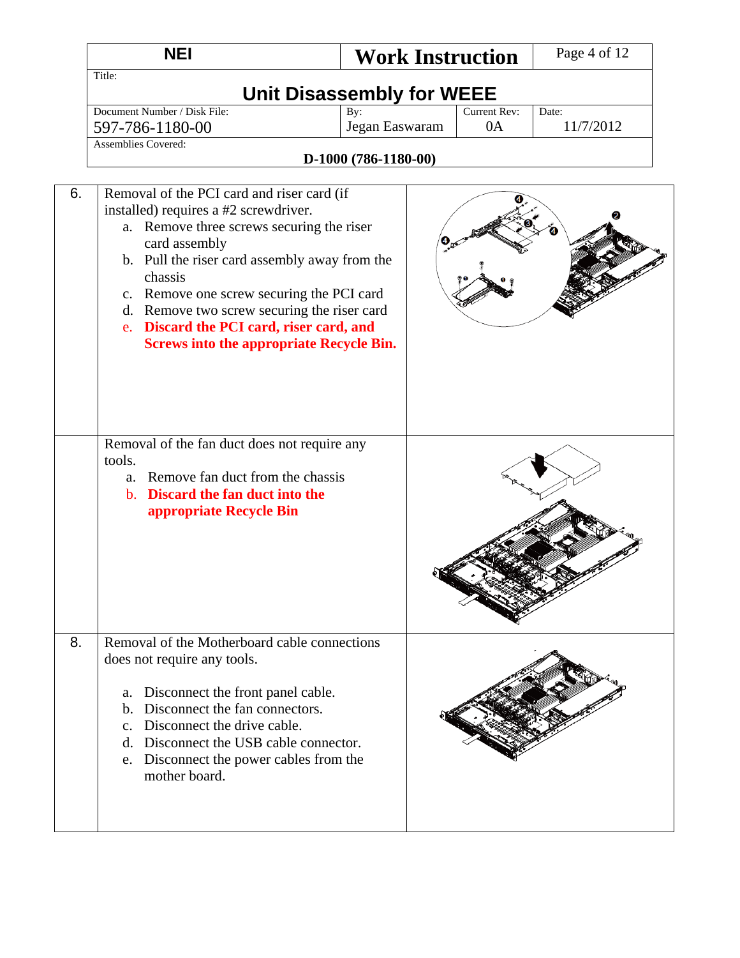|    | <b>NEI</b>                                                                                                                                                                                                                                                                                                                                                                                               | <b>Work Instruction</b>          |                    | Page 4 of 12       |
|----|----------------------------------------------------------------------------------------------------------------------------------------------------------------------------------------------------------------------------------------------------------------------------------------------------------------------------------------------------------------------------------------------------------|----------------------------------|--------------------|--------------------|
|    | Title:                                                                                                                                                                                                                                                                                                                                                                                                   | <b>Unit Disassembly for WEEE</b> |                    |                    |
|    | Document Number / Disk File:<br>597-786-1180-00                                                                                                                                                                                                                                                                                                                                                          | By:<br>Jegan Easwaram            | Current Rev:<br>0A | Date:<br>11/7/2012 |
|    | <b>Assemblies Covered:</b>                                                                                                                                                                                                                                                                                                                                                                               | D-1000 (786-1180-00)             |                    |                    |
| 6. | Removal of the PCI card and riser card (if<br>installed) requires a #2 screwdriver.<br>a. Remove three screws securing the riser<br>card assembly<br>b. Pull the riser card assembly away from the<br>chassis<br>c. Remove one screw securing the PCI card<br>d. Remove two screw securing the riser card<br>e. Discard the PCI card, riser card, and<br><b>Screws into the appropriate Recycle Bin.</b> |                                  |                    |                    |
|    | Removal of the fan duct does not require any<br>tools.<br>a. Remove fan duct from the chassis<br>b. Discard the fan duct into the<br>appropriate Recycle Bin                                                                                                                                                                                                                                             |                                  |                    |                    |
| 8. | Removal of the Motherboard cable connections<br>does not require any tools.<br>Disconnect the front panel cable.<br>a.<br>Disconnect the fan connectors.<br>$b_{\rm}$<br>c. Disconnect the drive cable.<br>d. Disconnect the USB cable connector.<br>Disconnect the power cables from the<br>e.<br>mother board.                                                                                         |                                  |                    |                    |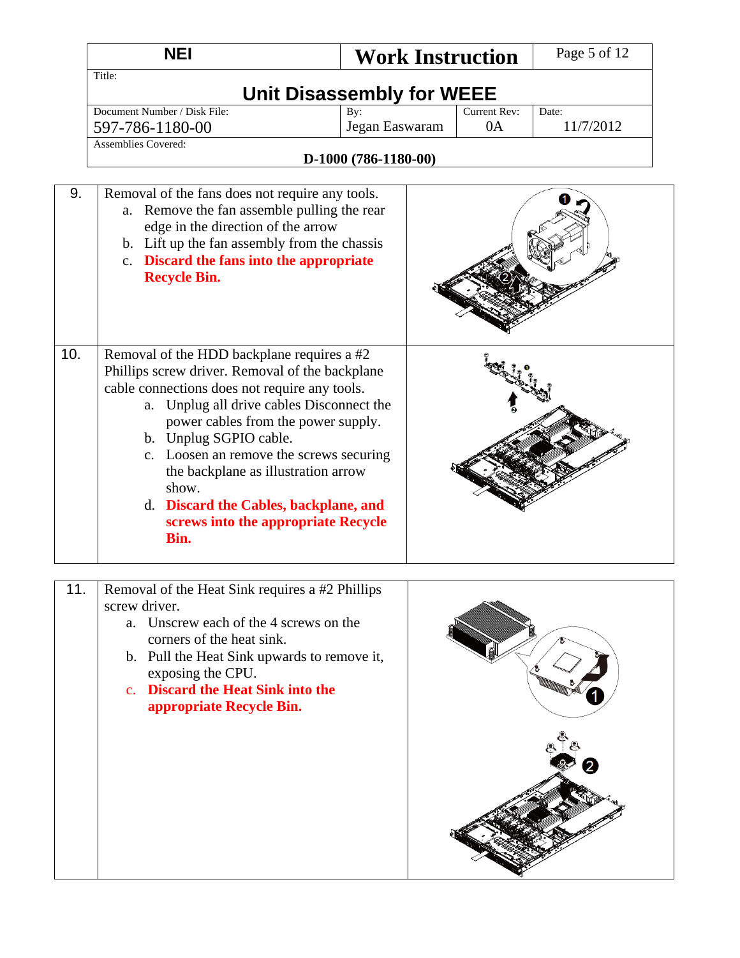|     | <b>NEI</b>                                                                                                                                                                                                                                                                                                                                                                                                                                      | <b>Work Instruction</b> |                           | Page 5 of 12       |  |  |  |
|-----|-------------------------------------------------------------------------------------------------------------------------------------------------------------------------------------------------------------------------------------------------------------------------------------------------------------------------------------------------------------------------------------------------------------------------------------------------|-------------------------|---------------------------|--------------------|--|--|--|
|     | Title:<br><b>Unit Disassembly for WEEE</b>                                                                                                                                                                                                                                                                                                                                                                                                      |                         |                           |                    |  |  |  |
|     | Document Number / Disk File:<br>597-786-1180-00<br><b>Assemblies Covered:</b>                                                                                                                                                                                                                                                                                                                                                                   | By:<br>Jegan Easwaram   | <b>Current Rev:</b><br>0A | Date:<br>11/7/2012 |  |  |  |
|     |                                                                                                                                                                                                                                                                                                                                                                                                                                                 | D-1000 (786-1180-00)    |                           |                    |  |  |  |
| 9.  | Removal of the fans does not require any tools.<br>a. Remove the fan assemble pulling the rear<br>edge in the direction of the arrow<br>b. Lift up the fan assembly from the chassis<br>c. Discard the fans into the appropriate<br><b>Recycle Bin.</b>                                                                                                                                                                                         |                         |                           |                    |  |  |  |
| 10. | Removal of the HDD backplane requires a #2<br>Phillips screw driver. Removal of the backplane<br>cable connections does not require any tools.<br>a. Unplug all drive cables Disconnect the<br>power cables from the power supply.<br>b. Unplug SGPIO cable.<br>c. Loosen an remove the screws securing<br>the backplane as illustration arrow<br>show.<br>d. Discard the Cables, backplane, and<br>screws into the appropriate Recycle<br>Bin. |                         |                           |                    |  |  |  |
| 11. | Removal of the Heat Sink requires a #2 Phillips                                                                                                                                                                                                                                                                                                                                                                                                 |                         |                           |                    |  |  |  |
|     | screw driver.<br>Unscrew each of the 4 screws on the<br>a.<br>corners of the heat sink.                                                                                                                                                                                                                                                                                                                                                         |                         |                           |                    |  |  |  |

- b. Pull the Heat Sink upwards to remove it, exposing the CPU.
- c. **Discard the Heat Sink into the appropriate Recycle Bin.**

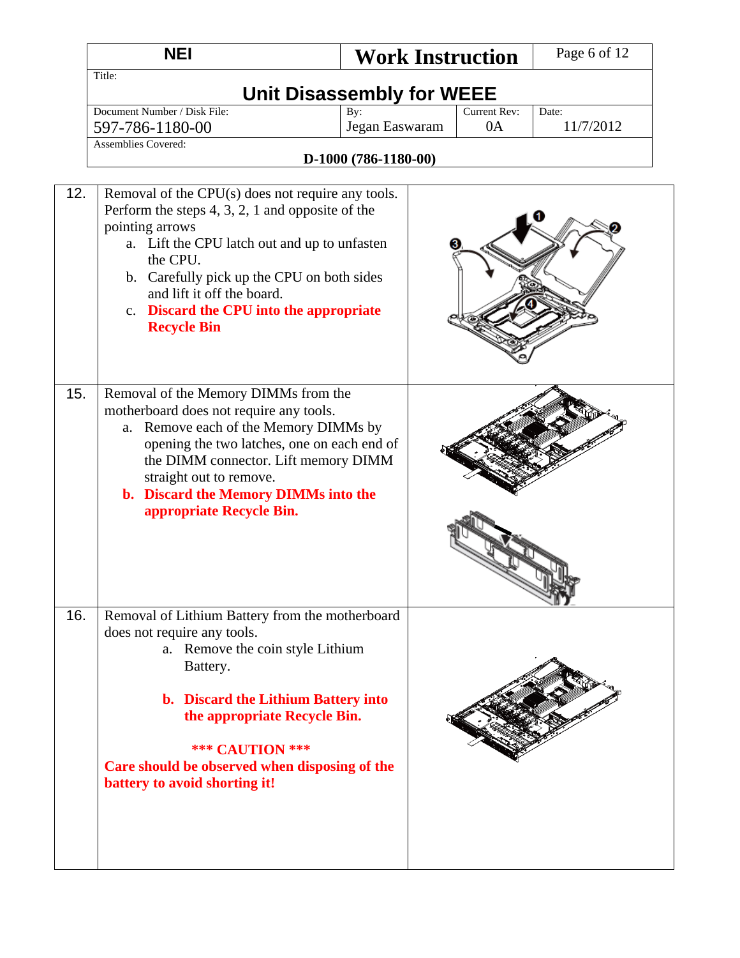|     | <b>NEI</b>                                                                                                                                                                                                                                                                                                                          | <b>Work Instruction</b> |  | Page 6 of 12 |  |  |
|-----|-------------------------------------------------------------------------------------------------------------------------------------------------------------------------------------------------------------------------------------------------------------------------------------------------------------------------------------|-------------------------|--|--------------|--|--|
|     | Title:<br><b>Unit Disassembly for WEEE</b>                                                                                                                                                                                                                                                                                          |                         |  |              |  |  |
|     | Document Number / Disk File:<br>Current Rev:<br>By:<br>Date:<br>Jegan Easwaram<br>0A<br>11/7/2012<br>597-786-1180-00                                                                                                                                                                                                                |                         |  |              |  |  |
|     | Assemblies Covered:                                                                                                                                                                                                                                                                                                                 | D-1000 (786-1180-00)    |  |              |  |  |
| 12. | Removal of the CPU(s) does not require any tools.<br>Perform the steps $4, 3, 2, 1$ and opposite of the<br>pointing arrows<br>a. Lift the CPU latch out and up to unfasten<br>the CPU.<br>b. Carefully pick up the CPU on both sides<br>and lift it off the board.<br>c. Discard the CPU into the appropriate<br><b>Recycle Bin</b> |                         |  |              |  |  |
| 15. | Removal of the Memory DIMMs from the<br>motherboard does not require any tools.<br>Remove each of the Memory DIMMs by<br>a.<br>opening the two latches, one on each end of<br>the DIMM connector. Lift memory DIMM<br>straight out to remove.<br>b. Discard the Memory DIMMs into the<br>appropriate Recycle Bin.                   |                         |  |              |  |  |
| 16. | Removal of Lithium Battery from the motherboard<br>does not require any tools.<br>a. Remove the coin style Lithium<br>Battery.<br>b. Discard the Lithium Battery into<br>the appropriate Recycle Bin.<br><b>*** CAUTION ***</b><br>Care should be observed when disposing of the<br>battery to avoid shorting it!                   |                         |  |              |  |  |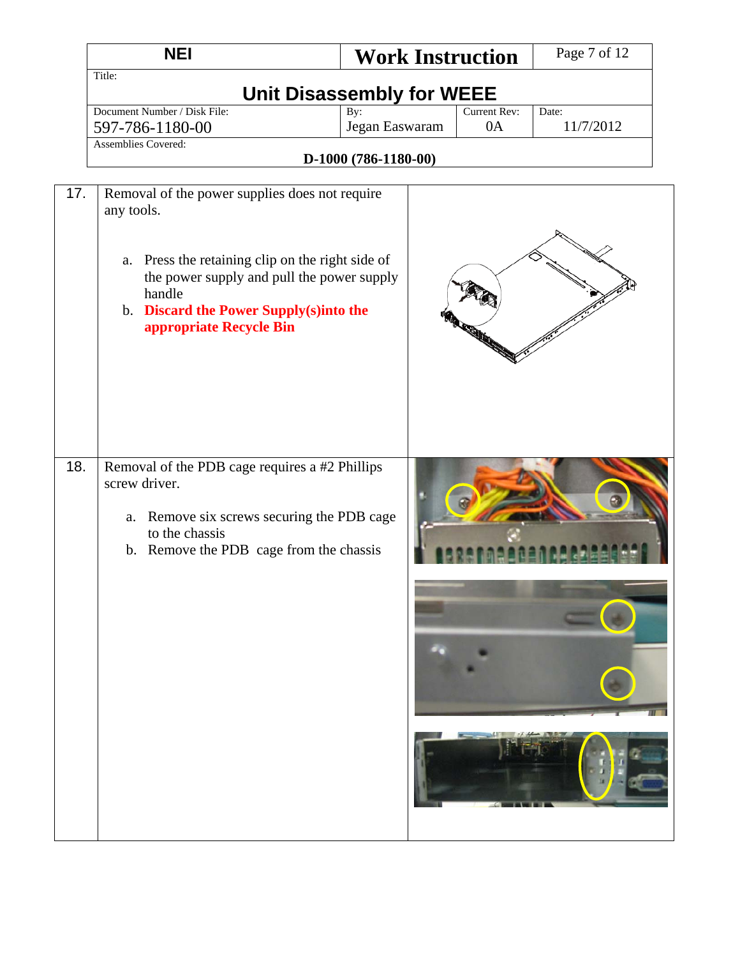|     | <b>NEI</b>                                                                                                                                                                                                                                       | <b>Work Instruction</b>          |                    | Page 7 of 12       |
|-----|--------------------------------------------------------------------------------------------------------------------------------------------------------------------------------------------------------------------------------------------------|----------------------------------|--------------------|--------------------|
|     | Title:                                                                                                                                                                                                                                           | <b>Unit Disassembly for WEEE</b> |                    |                    |
|     | Document Number / Disk File:                                                                                                                                                                                                                     | By:<br>Jegan Easwaram            | Current Rev:<br>0A | Date:<br>11/7/2012 |
|     | 597-786-1180-00<br><b>Assemblies Covered:</b>                                                                                                                                                                                                    |                                  |                    |                    |
|     |                                                                                                                                                                                                                                                  | D-1000 (786-1180-00)             |                    |                    |
| 17. | Removal of the power supplies does not require<br>any tools.<br>Press the retaining clip on the right side of<br>a.<br>the power supply and pull the power supply<br>handle<br>b. Discard the Power Supply(s)into the<br>appropriate Recycle Bin |                                  | <b>REGISTER</b>    |                    |
| 18. | Removal of the PDB cage requires a #2 Phillips<br>screw driver.<br>Remove six screws securing the PDB cage<br>a.<br>to the chassis<br>b. Remove the PDB cage from the chassis                                                                    |                                  |                    |                    |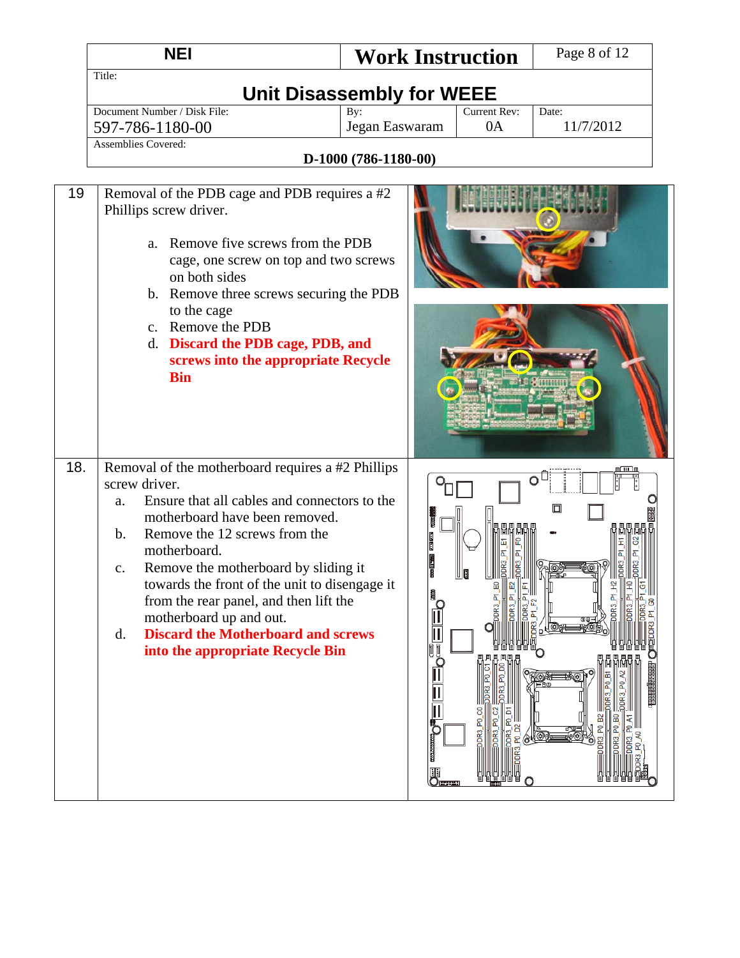|     | <b>NEI</b>                                                                                                                                                                                                                                                                                                                                                                                                                                                                                          | <b>Work Instruction</b>          |                    | Page 8 of 12       |
|-----|-----------------------------------------------------------------------------------------------------------------------------------------------------------------------------------------------------------------------------------------------------------------------------------------------------------------------------------------------------------------------------------------------------------------------------------------------------------------------------------------------------|----------------------------------|--------------------|--------------------|
|     | Title:                                                                                                                                                                                                                                                                                                                                                                                                                                                                                              |                                  |                    |                    |
|     |                                                                                                                                                                                                                                                                                                                                                                                                                                                                                                     | <b>Unit Disassembly for WEEE</b> |                    |                    |
|     | Document Number / Disk File:                                                                                                                                                                                                                                                                                                                                                                                                                                                                        | By:                              | Current Rev:<br>0A | Date:<br>11/7/2012 |
|     | 597-786-1180-00<br><b>Assemblies Covered:</b>                                                                                                                                                                                                                                                                                                                                                                                                                                                       | Jegan Easwaram                   |                    |                    |
|     |                                                                                                                                                                                                                                                                                                                                                                                                                                                                                                     | D-1000 (786-1180-00)             |                    |                    |
|     |                                                                                                                                                                                                                                                                                                                                                                                                                                                                                                     |                                  |                    |                    |
| 19  | Removal of the PDB cage and PDB requires a #2<br>Phillips screw driver.<br>a. Remove five screws from the PDB<br>cage, one screw on top and two screws<br>on both sides<br>b. Remove three screws securing the PDB<br>to the cage<br>c. Remove the PDB<br>d. Discard the PDB cage, PDB, and<br>screws into the appropriate Recycle<br><b>Bin</b>                                                                                                                                                    |                                  |                    |                    |
| 18. | Removal of the motherboard requires a #2 Phillips<br>screw driver.<br>Ensure that all cables and connectors to the<br>a.<br>motherboard have been removed.<br>Remove the 12 screws from the<br>$\mathbf{b}$ .<br>motherboard.<br>Remove the motherboard by sliding it<br>$C_{\bullet}$<br>towards the front of the unit to disengage it<br>from the rear panel, and then lift the<br>motherboard up and out.<br><b>Discard the Motherboard and screws</b><br>d.<br>into the appropriate Recycle Bin | E                                |                    | O<br>⊡             |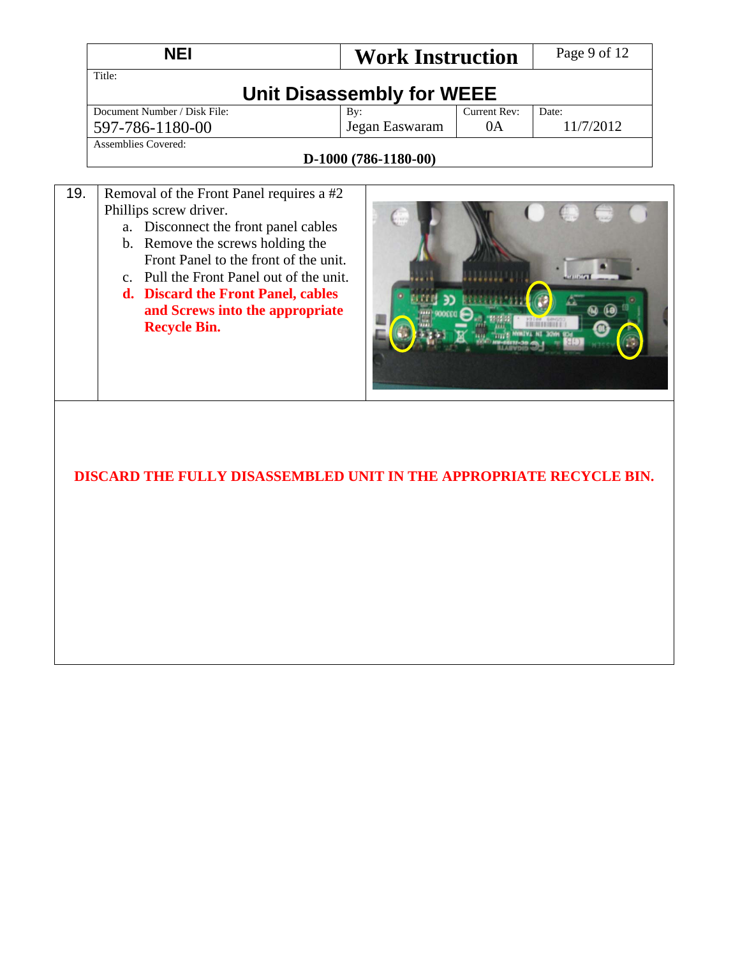|     | <b>NEI</b>                               | <b>Work Instruction</b>   |              | Page 9 of 12 |
|-----|------------------------------------------|---------------------------|--------------|--------------|
|     | Title:                                   |                           |              |              |
|     |                                          | Unit Disassembly for WEEE |              |              |
|     | Document Number / Disk File:             | By:                       | Current Rev: | Date:        |
|     | 597-786-1180-00                          | Jegan Easwaram            | 0A           | 11/7/2012    |
|     | Assemblies Covered:                      |                           |              |              |
|     |                                          | $D-1000(786-1180-00)$     |              |              |
|     |                                          |                           |              |              |
| 19. | Removal of the Front Panel requires a #2 |                           |              |              |
|     | Phillips screw driver.                   |                           |              |              |

- a. Disconnect the front panel cables
	- b. Remove the screws holding the Front Panel to the front of the unit.
	- c. Pull the Front Panel out of the unit. **d. Discard the Front Panel, cables and Screws into the appropriate Recycle Bin.**



### **DISCARD THE FULLY DISASSEMBLED UNIT IN THE APPROPRIATE RECYCLE BIN.**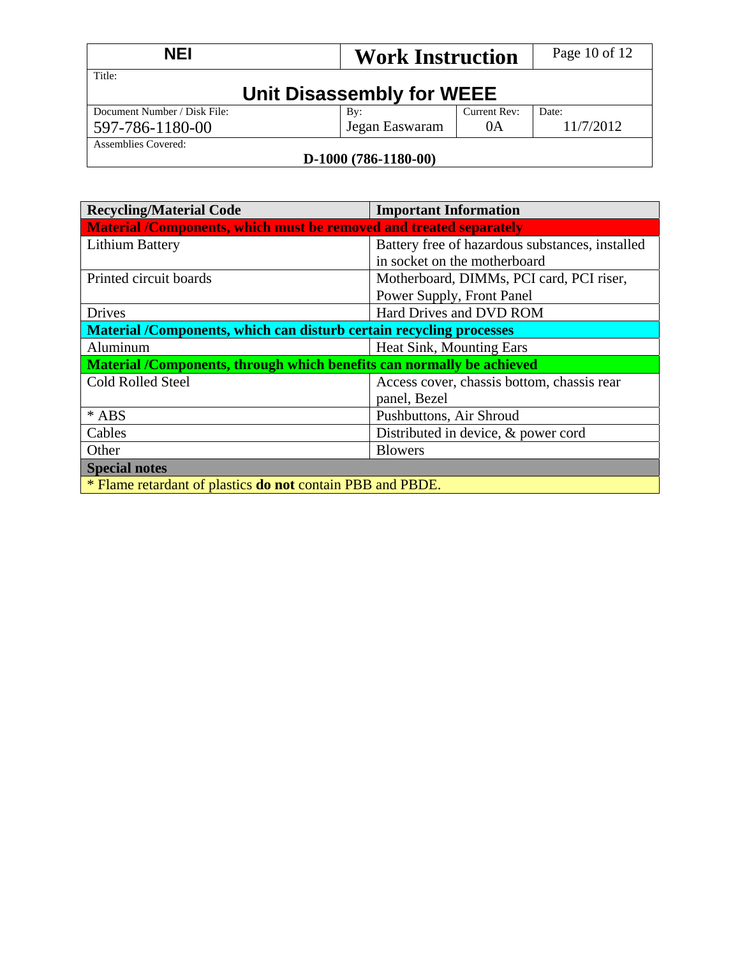| <b>NEI</b>                   | <b>Work Instruction</b>   |              | Page 10 of 12 |
|------------------------------|---------------------------|--------------|---------------|
| Title:                       | Unit Disassembly for WEEE |              |               |
| Document Number / Disk File: | $\mathbf{B}v$ :           | Current Rev: | Date:         |
| 597-786-1180-00              | Jegan Easwaram            | 0A           | 11/7/2012     |
| Assemblies Covered:          |                           |              |               |
|                              | $D-1000(786-1180-00)$     |              |               |

#### **D-1000 (786-1180-00)**

| <b>Recycling/Material Code</b>                                        | <b>Important Information</b>                    |  |  |  |
|-----------------------------------------------------------------------|-------------------------------------------------|--|--|--|
| Material /Components, which must be removed and treated separately    |                                                 |  |  |  |
| <b>Lithium Battery</b>                                                | Battery free of hazardous substances, installed |  |  |  |
|                                                                       | in socket on the motherboard                    |  |  |  |
| Printed circuit boards                                                | Motherboard, DIMMs, PCI card, PCI riser,        |  |  |  |
|                                                                       | Power Supply, Front Panel                       |  |  |  |
| <b>Drives</b>                                                         | Hard Drives and DVD ROM                         |  |  |  |
| Material /Components, which can disturb certain recycling processes   |                                                 |  |  |  |
| Aluminum                                                              | Heat Sink, Mounting Ears                        |  |  |  |
| Material /Components, through which benefits can normally be achieved |                                                 |  |  |  |
| <b>Cold Rolled Steel</b>                                              | Access cover, chassis bottom, chassis rear      |  |  |  |
|                                                                       | panel, Bezel                                    |  |  |  |
| $*$ ABS                                                               | Pushbuttons, Air Shroud                         |  |  |  |
| Cables                                                                | Distributed in device, & power cord             |  |  |  |
| Other                                                                 | <b>Blowers</b>                                  |  |  |  |
| <b>Special notes</b>                                                  |                                                 |  |  |  |
| * Flame retardant of plastics <b>do not</b> contain PBB and PBDE.     |                                                 |  |  |  |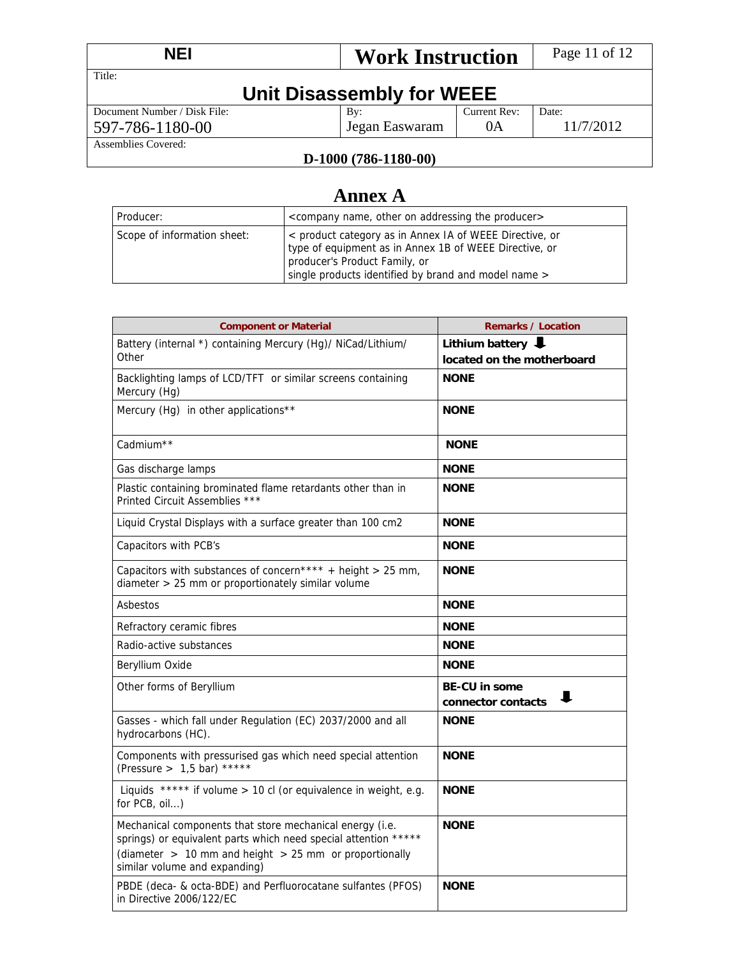| <b>NEI</b><br><b>Work Instruction</b> |                | Page 11 of 12 |           |  |  |
|---------------------------------------|----------------|---------------|-----------|--|--|
| Title:                                |                |               |           |  |  |
| Unit Disassembly for WEEE             |                |               |           |  |  |
| Document Number / Disk File:          | By:            | Current Rev:  | Date:     |  |  |
| 597-786-1180-00                       | Jegan Easwaram | 0A            | 11/7/2012 |  |  |
| Assemblies Covered:                   |                |               |           |  |  |
| T) 1000 (786 1180 00)                 |                |               |           |  |  |

#### **D-1000 (786-1180-00)**

# **Annex A**

| Producer:                   | <company addressing="" name,="" on="" other="" producer="" the=""></company>                                                                                                                               |
|-----------------------------|------------------------------------------------------------------------------------------------------------------------------------------------------------------------------------------------------------|
| Scope of information sheet: | < product category as in Annex IA of WEEE Directive, or<br>type of equipment as in Annex 1B of WEEE Directive, or<br>producer's Product Family, or<br>single products identified by brand and model name > |

| <b>Component or Material</b>                                                                                                                                                                                               | <b>Remarks / Location</b>                       |  |
|----------------------------------------------------------------------------------------------------------------------------------------------------------------------------------------------------------------------------|-------------------------------------------------|--|
| Battery (internal *) containing Mercury (Hg)/ NiCad/Lithium/                                                                                                                                                               | Lithium battery $\big\downarrow$                |  |
| Other                                                                                                                                                                                                                      | located on the motherboard                      |  |
| Backlighting lamps of LCD/TFT or similar screens containing<br>Mercury (Hg)                                                                                                                                                | <b>NONE</b>                                     |  |
| Mercury (Hg) in other applications**                                                                                                                                                                                       | <b>NONE</b>                                     |  |
| Cadmium <sup>**</sup>                                                                                                                                                                                                      | <b>NONE</b>                                     |  |
| Gas discharge lamps                                                                                                                                                                                                        | <b>NONE</b>                                     |  |
| Plastic containing brominated flame retardants other than in<br>Printed Circuit Assemblies ***                                                                                                                             | <b>NONE</b>                                     |  |
| Liquid Crystal Displays with a surface greater than 100 cm2                                                                                                                                                                | <b>NONE</b>                                     |  |
| Capacitors with PCB's                                                                                                                                                                                                      | <b>NONE</b>                                     |  |
| Capacitors with substances of concern**** + height > 25 mm,<br>diameter > 25 mm or proportionately similar volume                                                                                                          | <b>NONE</b>                                     |  |
| Asbestos                                                                                                                                                                                                                   | <b>NONE</b>                                     |  |
| Refractory ceramic fibres                                                                                                                                                                                                  | <b>NONE</b>                                     |  |
| Radio-active substances                                                                                                                                                                                                    | <b>NONE</b>                                     |  |
| Beryllium Oxide                                                                                                                                                                                                            | <b>NONE</b>                                     |  |
| Other forms of Beryllium                                                                                                                                                                                                   | <b>BE-CU in some</b><br>ш<br>connector contacts |  |
| Gasses - which fall under Regulation (EC) 2037/2000 and all<br>hydrocarbons (HC).                                                                                                                                          | <b>NONE</b>                                     |  |
| Components with pressurised gas which need special attention<br>(Pressure > $1,5$ bar) *****                                                                                                                               | <b>NONE</b>                                     |  |
| Liquids ***** if volume > 10 cl (or equivalence in weight, e.g.<br>for PCB, oil)                                                                                                                                           | <b>NONE</b>                                     |  |
| Mechanical components that store mechanical energy (i.e.<br>springs) or equivalent parts which need special attention *****<br>(diameter $> 10$ mm and height $> 25$ mm or proportionally<br>similar volume and expanding) | <b>NONE</b>                                     |  |
| PBDE (deca- & octa-BDE) and Perfluorocatane sulfantes (PFOS)<br>in Directive 2006/122/EC                                                                                                                                   | <b>NONE</b>                                     |  |